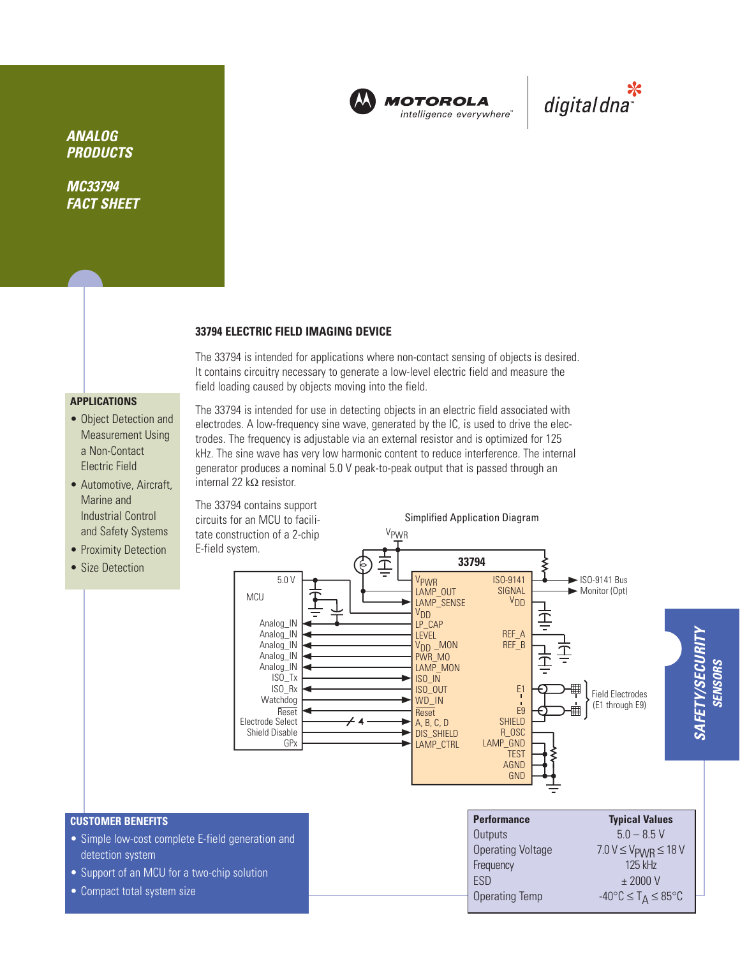

**MOTOROLA** intelligence everywhere"



**ANALOG PRODUCTS**

**MC33794 FACT SHEET**

#### **33794 ELECTRIC FIELD IMAGING DEVICE**

The 33794 is intended for applications where non-contact sensing of objects is desired. It contains circuitry necessary to generate a low-level electric field and measure the field loading caused by objects moving into the field.

# **APPLICATIONS**

- Object Detection and Measurement Using a Non-Contact Electric Field
- Automotive, Aircraft, Marine and Industrial Control and Safety Systems
- Proximity Detection
- Size Detection

The 33794 is intended for use in detecting objects in an electric field associated with electrodes. A low-frequency sine wave, generated by the IC, is used to drive the electrodes. The frequency is adjustable via an external resistor and is optimized for 125 kHz. The sine wave has very low harmonic content to reduce interference. The internal generator produces a nominal 5.0 V peak-to-peak output that is passed through an internal 22 kΩ resistor.



## **CUSTOMER BENEFITS**

- Simple low-cost complete E-field generation and detection system
- Support of an MCU for a two-chip solution
- Compact total system size

| <b>Typical Values</b>                             |
|---------------------------------------------------|
| $50 - 85V$                                        |
| $7.0 V \leq V_{\text{PWR}} \leq 18 V$             |
| $125$ kHz                                         |
| $±$ 2000 V                                        |
| $-40^{\circ}$ C $\leq$ T <sub>A</sub> $\leq$ 85°C |
|                                                   |

**SAFETY/SECURITY SENSORS**

**SENSORS**